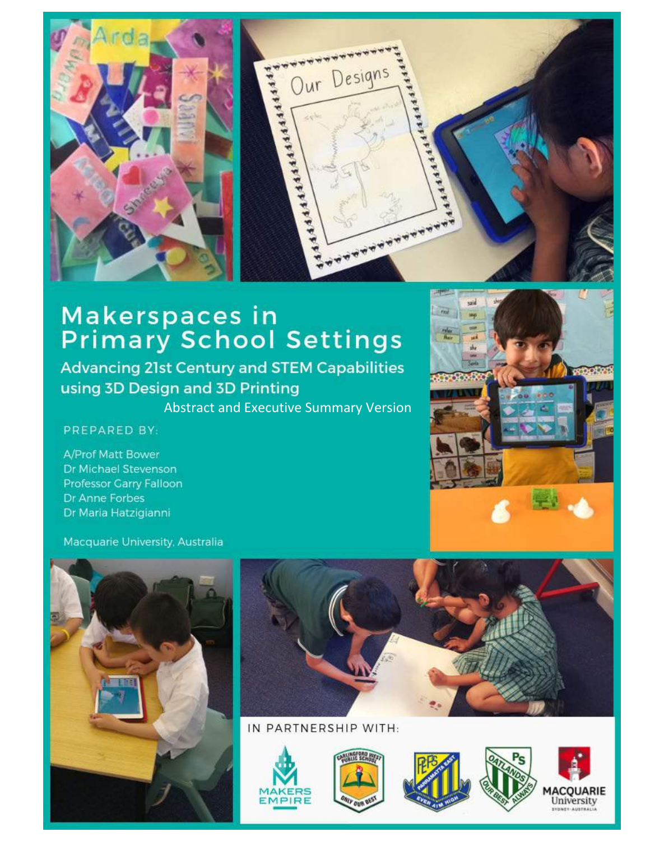

# Makerspaces in<br>Primary School Settings

**Advancing 21st Century and STEM Capabilities** using 3D Design and 3D Printing

Abstract and Executive Summary Version

#### PREPARED BY:

A/Prof Matt Bower Dr Michael Stevenson Professor Garry Falloon Dr Anne Forbes Dr Maria Hatzigianni





#### IN PARTNERSHIP WITH:



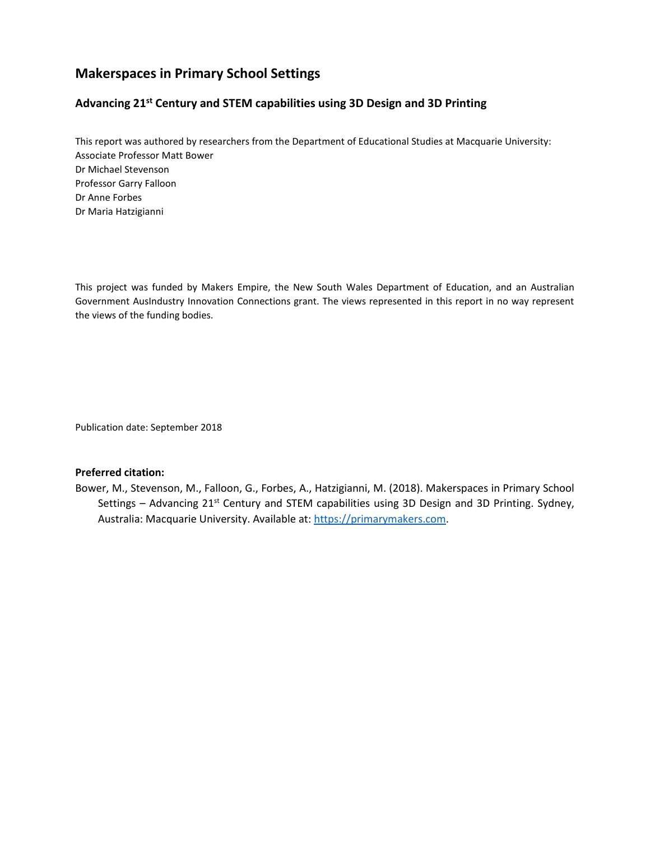#### **Makerspaces in Primary School Settings**

#### **Advancing 21st Century and STEM capabilities using 3D Design and 3D Printing**

This report was authored by researchers from the Department of Educational Studies at Macquarie University: Associate Professor Matt Bower Dr Michael Stevenson Professor Garry Falloon Dr Anne Forbes Dr Maria Hatzigianni

This project was funded by Makers Empire, the New South Wales Department of Education, and an Australian Government AusIndustry Innovation Connections grant. The views represented in this report in no way represent the views of the funding bodies.

Publication date: September 2018

#### **Preferred citation:**

Bower, M., Stevenson, M., Falloon, G., Forbes, A., Hatzigianni, M. (2018). Makerspaces in Primary School Settings – Advancing  $21^{st}$  Century and STEM capabilities using 3D Design and 3D Printing. Sydney, Australia: Macquarie University. Available at[: https://primarymakers.com.](https://primarymakers.com/)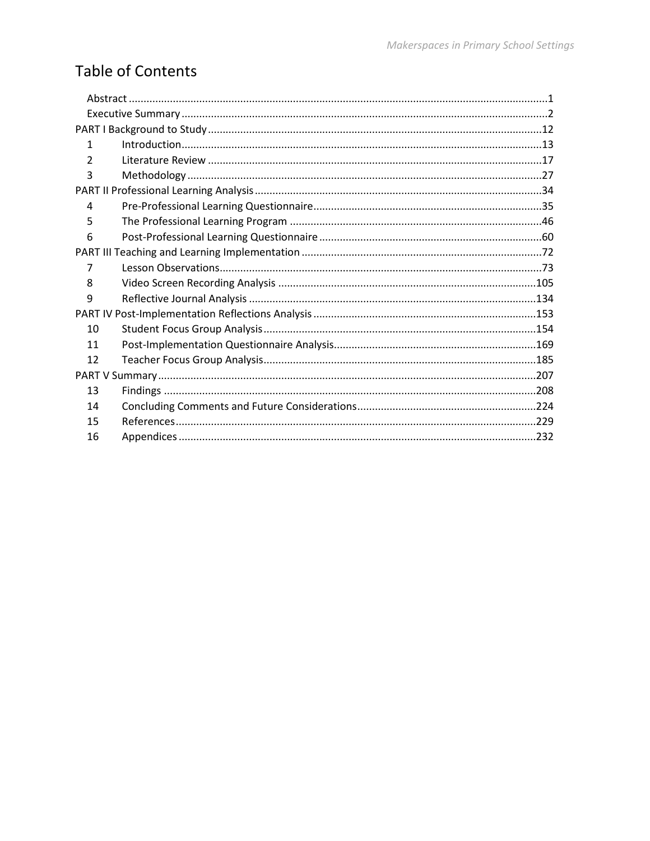### **Table of Contents**

| 1  |  |  |  |  |  |  |
|----|--|--|--|--|--|--|
| 2  |  |  |  |  |  |  |
| 3  |  |  |  |  |  |  |
|    |  |  |  |  |  |  |
| 4  |  |  |  |  |  |  |
| 5  |  |  |  |  |  |  |
| 6  |  |  |  |  |  |  |
|    |  |  |  |  |  |  |
| 7  |  |  |  |  |  |  |
| 8  |  |  |  |  |  |  |
| 9  |  |  |  |  |  |  |
|    |  |  |  |  |  |  |
| 10 |  |  |  |  |  |  |
| 11 |  |  |  |  |  |  |
| 12 |  |  |  |  |  |  |
|    |  |  |  |  |  |  |
| 13 |  |  |  |  |  |  |
| 14 |  |  |  |  |  |  |
| 15 |  |  |  |  |  |  |
| 16 |  |  |  |  |  |  |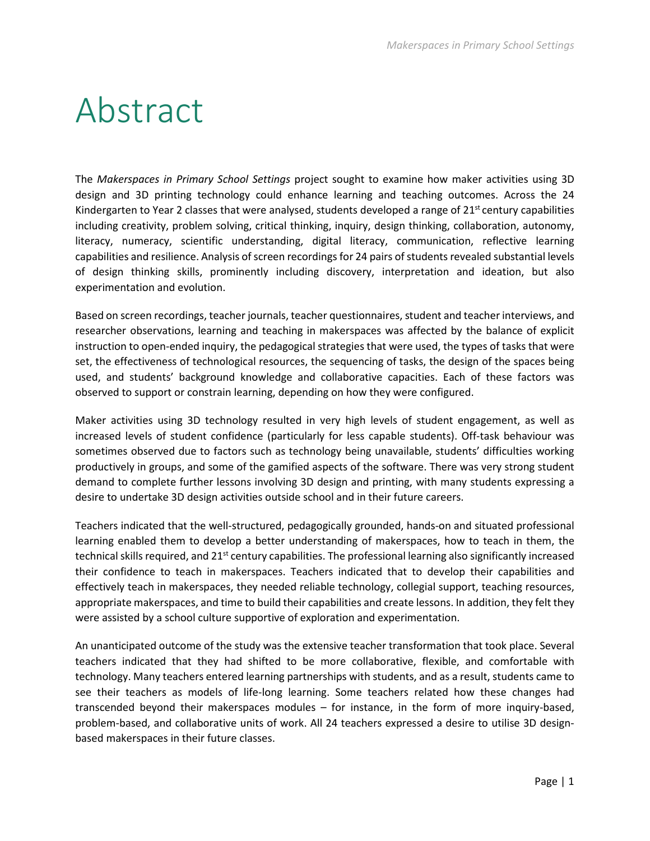## <span id="page-3-0"></span>Abstract

The *Makerspaces in Primary School Settings* project sought to examine how maker activities using 3D design and 3D printing technology could enhance learning and teaching outcomes. Across the 24 Kindergarten to Year 2 classes that were analysed, students developed a range of  $21^{st}$  century capabilities including creativity, problem solving, critical thinking, inquiry, design thinking, collaboration, autonomy, literacy, numeracy, scientific understanding, digital literacy, communication, reflective learning capabilities and resilience. Analysis of screen recordings for 24 pairs of students revealed substantial levels of design thinking skills, prominently including discovery, interpretation and ideation, but also experimentation and evolution.

Based on screen recordings, teacher journals, teacher questionnaires, student and teacher interviews, and researcher observations, learning and teaching in makerspaces was affected by the balance of explicit instruction to open-ended inquiry, the pedagogical strategies that were used, the types of tasks that were set, the effectiveness of technological resources, the sequencing of tasks, the design of the spaces being used, and students' background knowledge and collaborative capacities. Each of these factors was observed to support or constrain learning, depending on how they were configured.

Maker activities using 3D technology resulted in very high levels of student engagement, as well as increased levels of student confidence (particularly for less capable students). Off-task behaviour was sometimes observed due to factors such as technology being unavailable, students' difficulties working productively in groups, and some of the gamified aspects of the software. There was very strong student demand to complete further lessons involving 3D design and printing, with many students expressing a desire to undertake 3D design activities outside school and in their future careers.

Teachers indicated that the well-structured, pedagogically grounded, hands-on and situated professional learning enabled them to develop a better understanding of makerspaces, how to teach in them, the technical skills required, and 21<sup>st</sup> century capabilities. The professional learning also significantly increased their confidence to teach in makerspaces. Teachers indicated that to develop their capabilities and effectively teach in makerspaces, they needed reliable technology, collegial support, teaching resources, appropriate makerspaces, and time to build their capabilities and create lessons. In addition, they felt they were assisted by a school culture supportive of exploration and experimentation.

An unanticipated outcome of the study was the extensive teacher transformation that took place. Several teachers indicated that they had shifted to be more collaborative, flexible, and comfortable with technology. Many teachers entered learning partnerships with students, and as a result, students came to see their teachers as models of life-long learning. Some teachers related how these changes had transcended beyond their makerspaces modules – for instance, in the form of more inquiry-based, problem-based, and collaborative units of work. All 24 teachers expressed a desire to utilise 3D designbased makerspaces in their future classes.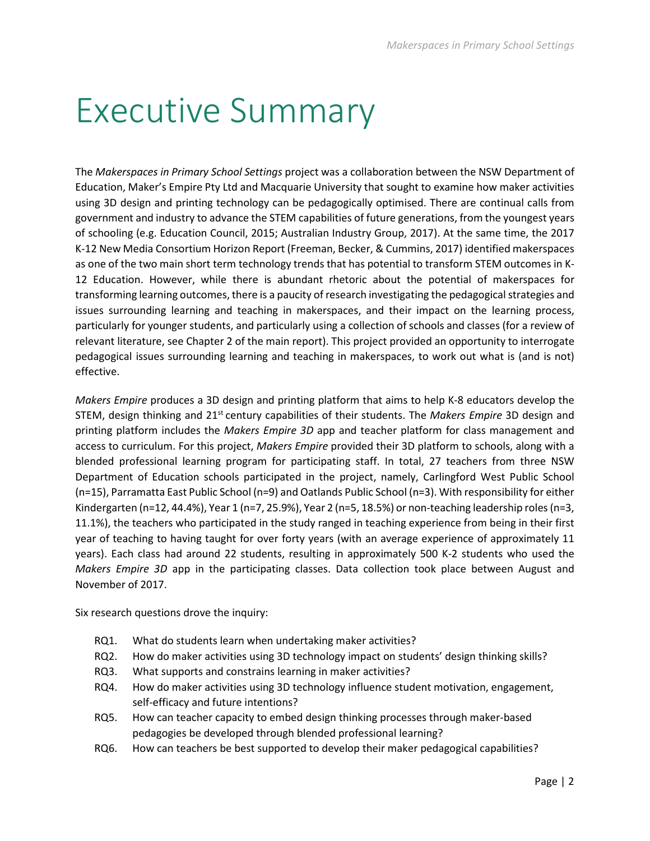## <span id="page-4-0"></span>Executive Summary

The *Makerspaces in Primary School Settings* project was a collaboration between the NSW Department of Education, Maker's Empire Pty Ltd and Macquarie University that sought to examine how maker activities using 3D design and printing technology can be pedagogically optimised. There are continual calls from government and industry to advance the STEM capabilities of future generations, from the youngest years of schooling (e.g. Education Council, 2015; Australian Industry Group, 2017). At the same time, the 2017 K-12 New Media Consortium Horizon Report (Freeman, Becker, & Cummins, 2017) identified makerspaces as one of the two main short term technology trends that has potential to transform STEM outcomes in K-12 Education. However, while there is abundant rhetoric about the potential of makerspaces for transforming learning outcomes, there is a paucity of research investigating the pedagogical strategies and issues surrounding learning and teaching in makerspaces, and their impact on the learning process, particularly for younger students, and particularly using a collection of schools and classes (for a review of relevant literature, see Chapter 2 of the main report). This project provided an opportunity to interrogate pedagogical issues surrounding learning and teaching in makerspaces, to work out what is (and is not) effective.

*Makers Empire* produces a 3D design and printing platform that aims to help K-8 educators develop the STEM, design thinking and 21st century capabilities of their students. The *Makers Empire* 3D design and printing platform includes the *Makers Empire 3D* app and teacher platform for class management and access to curriculum. For this project, *Makers Empire* provided their 3D platform to schools, along with a blended professional learning program for participating staff. In total, 27 teachers from three NSW Department of Education schools participated in the project, namely, Carlingford West Public School (n=15), Parramatta East Public School (n=9) and Oatlands Public School (n=3). With responsibility for either Kindergarten (n=12, 44.4%), Year 1 (n=7, 25.9%), Year 2 (n=5, 18.5%) or non-teaching leadership roles (n=3, 11.1%), the teachers who participated in the study ranged in teaching experience from being in their first year of teaching to having taught for over forty years (with an average experience of approximately 11 years). Each class had around 22 students, resulting in approximately 500 K-2 students who used the *Makers Empire 3D* app in the participating classes. Data collection took place between August and November of 2017.

Six research questions drove the inquiry:

- RQ1. What do students learn when undertaking maker activities?
- RQ2. How do maker activities using 3D technology impact on students' design thinking skills?
- RQ3. What supports and constrains learning in maker activities?
- RQ4. How do maker activities using 3D technology influence student motivation, engagement, self-efficacy and future intentions?
- RQ5. How can teacher capacity to embed design thinking processes through maker-based pedagogies be developed through blended professional learning?
- RQ6. How can teachers be best supported to develop their maker pedagogical capabilities?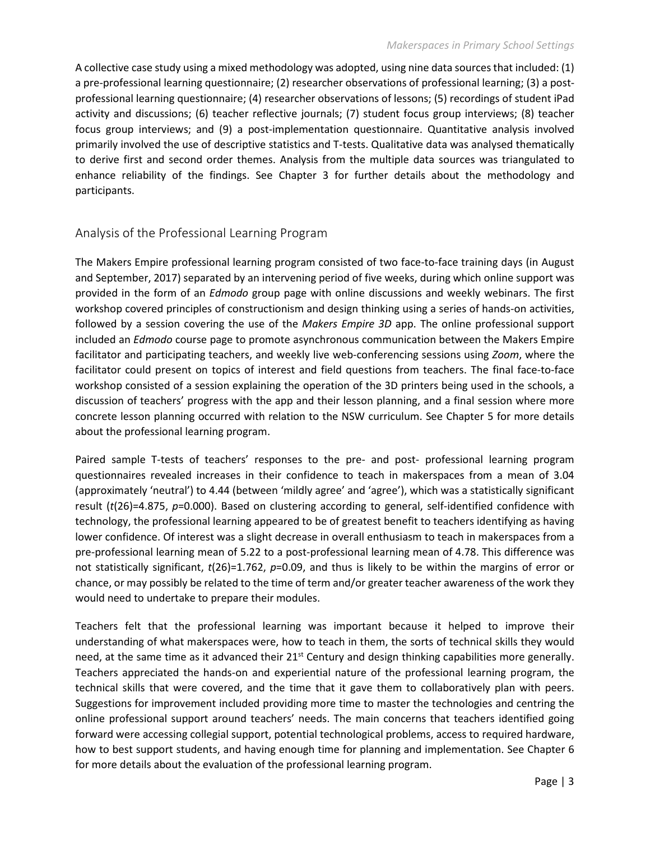A collective case study using a mixed methodology was adopted, using nine data sources that included: (1) a pre-professional learning questionnaire; (2) researcher observations of professional learning; (3) a postprofessional learning questionnaire; (4) researcher observations of lessons; (5) recordings of student iPad activity and discussions; (6) teacher reflective journals; (7) student focus group interviews; (8) teacher focus group interviews; and (9) a post-implementation questionnaire. Quantitative analysis involved primarily involved the use of descriptive statistics and T-tests. Qualitative data was analysed thematically to derive first and second order themes. Analysis from the multiple data sources was triangulated to enhance reliability of the findings. See Chapter 3 for further details about the methodology and participants.

#### Analysis of the Professional Learning Program

The Makers Empire professional learning program consisted of two face-to-face training days (in August and September, 2017) separated by an intervening period of five weeks, during which online support was provided in the form of an *Edmodo* group page with online discussions and weekly webinars. The first workshop covered principles of constructionism and design thinking using a series of hands-on activities, followed by a session covering the use of the *Makers Empire 3D* app. The online professional support included an *Edmodo* course page to promote asynchronous communication between the Makers Empire facilitator and participating teachers, and weekly live web-conferencing sessions using *Zoom*, where the facilitator could present on topics of interest and field questions from teachers. The final face-to-face workshop consisted of a session explaining the operation of the 3D printers being used in the schools, a discussion of teachers' progress with the app and their lesson planning, and a final session where more concrete lesson planning occurred with relation to the NSW curriculum. See Chapter 5 for more details about the professional learning program.

Paired sample T-tests of teachers' responses to the pre- and post- professional learning program questionnaires revealed increases in their confidence to teach in makerspaces from a mean of 3.04 (approximately 'neutral') to 4.44 (between 'mildly agree' and 'agree'), which was a statistically significant result (*t*(26)=4.875, *p*=0.000). Based on clustering according to general, self-identified confidence with technology, the professional learning appeared to be of greatest benefit to teachers identifying as having lower confidence. Of interest was a slight decrease in overall enthusiasm to teach in makerspaces from a pre-professional learning mean of 5.22 to a post-professional learning mean of 4.78. This difference was not statistically significant, *t*(26)=1.762, *p*=0.09, and thus is likely to be within the margins of error or chance, or may possibly be related to the time of term and/or greater teacher awareness of the work they would need to undertake to prepare their modules.

Teachers felt that the professional learning was important because it helped to improve their understanding of what makerspaces were, how to teach in them, the sorts of technical skills they would need, at the same time as it advanced their  $21^{st}$  Century and design thinking capabilities more generally. Teachers appreciated the hands-on and experiential nature of the professional learning program, the technical skills that were covered, and the time that it gave them to collaboratively plan with peers. Suggestions for improvement included providing more time to master the technologies and centring the online professional support around teachers' needs. The main concerns that teachers identified going forward were accessing collegial support, potential technological problems, access to required hardware, how to best support students, and having enough time for planning and implementation. See Chapter 6 for more details about the evaluation of the professional learning program.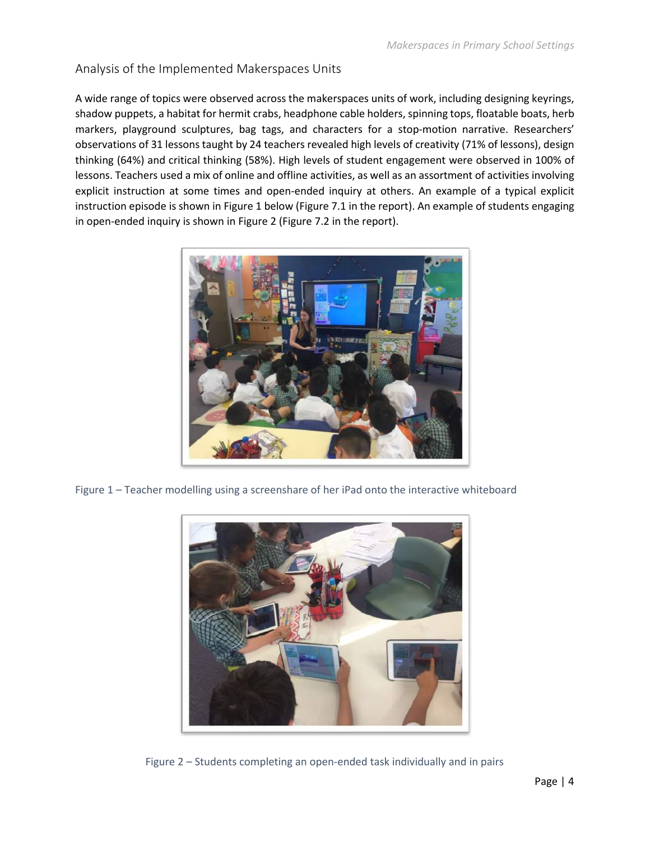#### Analysis of the Implemented Makerspaces Units

A wide range of topics were observed across the makerspaces units of work, including designing keyrings, shadow puppets, a habitat for hermit crabs, headphone cable holders, spinning tops, floatable boats, herb markers, playground sculptures, bag tags, and characters for a stop-motion narrative. Researchers' observations of 31 lessons taught by 24 teachers revealed high levels of creativity (71% of lessons), design thinking (64%) and critical thinking (58%). High levels of student engagement were observed in 100% of lessons. Teachers used a mix of online and offline activities, as well as an assortment of activities involving explicit instruction at some times and open-ended inquiry at others. An example of a typical explicit instruction episode is shown in Figure 1 below (Figure 7.1 in the report). An example of students engaging in open-ended inquiry is shown in Figure 2 (Figure 7.2 in the report).



Figure 1 – Teacher modelling using a screenshare of her iPad onto the interactive whiteboard



Figure 2 – Students completing an open-ended task individually and in pairs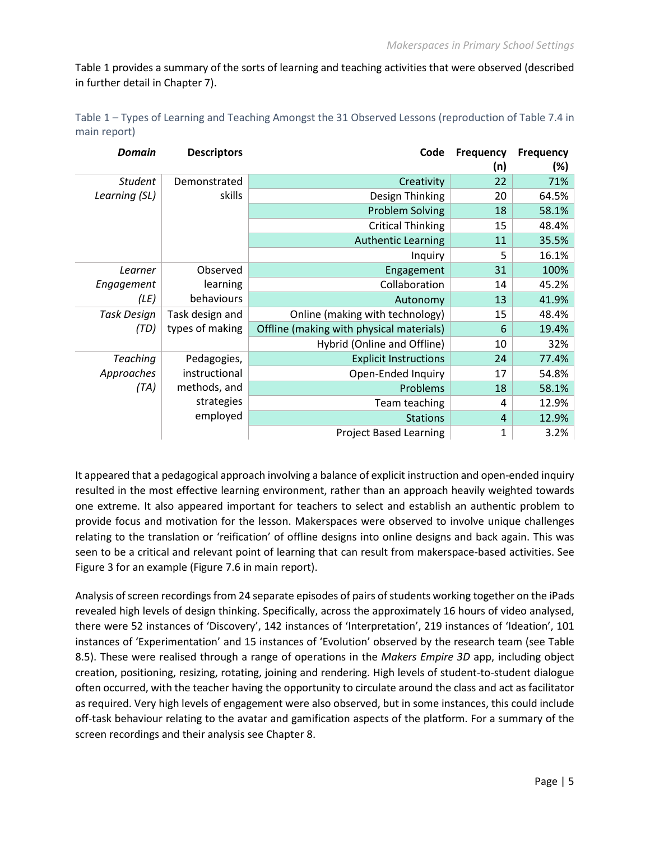Table 1 provides a summary of the sorts of learning and teaching activities that were observed (described in further detail in Chapter 7).

| Table 1 – Types of Learning and Teaching Amongst the 31 Observed Lessons (reproduction of Table 7.4 in |  |
|--------------------------------------------------------------------------------------------------------|--|
| main report)                                                                                           |  |

| <b>Domain</b>   | <b>Descriptors</b> | Code                                     | <b>Frequency</b> | <b>Frequency</b> |
|-----------------|--------------------|------------------------------------------|------------------|------------------|
|                 |                    |                                          | (n)              | $(\%)$           |
| <b>Student</b>  | Demonstrated       | Creativity                               | 22               | 71%              |
| Learning (SL)   | skills             | Design Thinking                          | 20               | 64.5%            |
|                 |                    | <b>Problem Solving</b>                   | 18               | 58.1%            |
|                 |                    | <b>Critical Thinking</b>                 | 15               | 48.4%            |
|                 |                    | <b>Authentic Learning</b>                | 11               | 35.5%            |
|                 |                    | Inquiry                                  | 5                | 16.1%            |
| Learner         | Observed           | Engagement                               | 31               | 100%             |
| Engagement      | learning           | Collaboration                            | 14               | 45.2%            |
| (LE)            | behaviours         | Autonomy                                 | 13               | 41.9%            |
| Task Design     | Task design and    | Online (making with technology)          | 15               | 48.4%            |
| (TD)            | types of making    | Offline (making with physical materials) | 6                | 19.4%            |
|                 |                    | Hybrid (Online and Offline)              | 10               | 32%              |
| <b>Teaching</b> | Pedagogies,        | <b>Explicit Instructions</b>             | 24               | 77.4%            |
| Approaches      | instructional      | Open-Ended Inquiry                       | 17               | 54.8%            |
| (TA)            | methods, and       | Problems                                 | 18               | 58.1%            |
|                 | strategies         | Team teaching                            | 4                | 12.9%            |
|                 | employed           | <b>Stations</b>                          | $\overline{4}$   | 12.9%            |
|                 |                    | <b>Project Based Learning</b>            | 1                | 3.2%             |

It appeared that a pedagogical approach involving a balance of explicit instruction and open-ended inquiry resulted in the most effective learning environment, rather than an approach heavily weighted towards one extreme. It also appeared important for teachers to select and establish an authentic problem to provide focus and motivation for the lesson. Makerspaces were observed to involve unique challenges relating to the translation or 'reification' of offline designs into online designs and back again. This was seen to be a critical and relevant point of learning that can result from makerspace-based activities. See Figure 3 for an example (Figure 7.6 in main report).

Analysis of screen recordings from 24 separate episodes of pairs of students working together on the iPads revealed high levels of design thinking. Specifically, across the approximately 16 hours of video analysed, there were 52 instances of 'Discovery', 142 instances of 'Interpretation', 219 instances of 'Ideation', 101 instances of 'Experimentation' and 15 instances of 'Evolution' observed by the research team (see Table 8.5). These were realised through a range of operations in the *Makers Empire 3D* app, including object creation, positioning, resizing, rotating, joining and rendering. High levels of student-to-student dialogue often occurred, with the teacher having the opportunity to circulate around the class and act as facilitator as required. Very high levels of engagement were also observed, but in some instances, this could include off-task behaviour relating to the avatar and gamification aspects of the platform. For a summary of the screen recordings and their analysis see Chapter 8.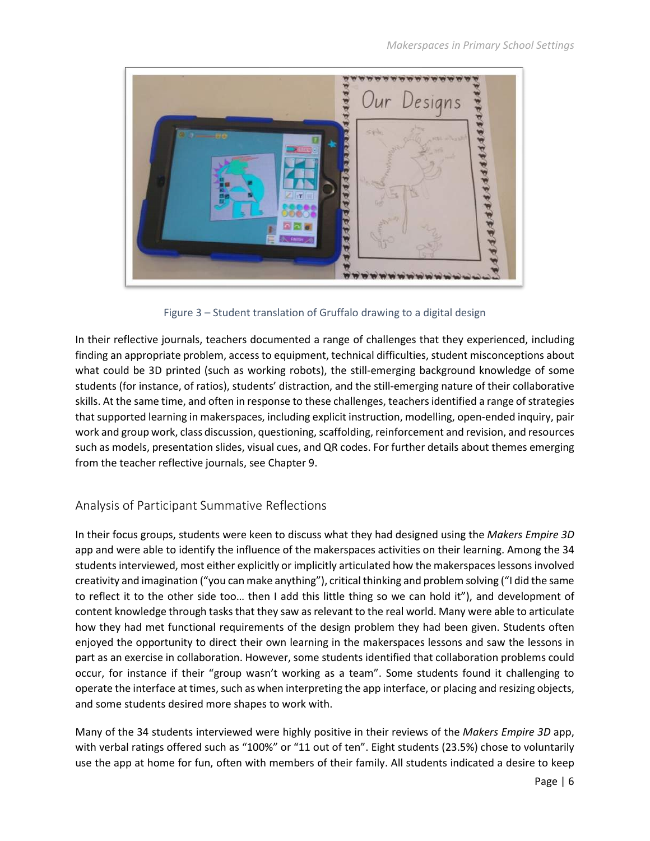

Figure 3 – Student translation of Gruffalo drawing to a digital design

In their reflective journals, teachers documented a range of challenges that they experienced, including finding an appropriate problem, access to equipment, technical difficulties, student misconceptions about what could be 3D printed (such as working robots), the still-emerging background knowledge of some students (for instance, of ratios), students' distraction, and the still-emerging nature of their collaborative skills. At the same time, and often in response to these challenges, teachers identified a range of strategies that supported learning in makerspaces, including explicit instruction, modelling, open-ended inquiry, pair work and group work, class discussion, questioning, scaffolding, reinforcement and revision, and resources such as models, presentation slides, visual cues, and QR codes. For further details about themes emerging from the teacher reflective journals, see Chapter 9.

#### Analysis of Participant Summative Reflections

In their focus groups, students were keen to discuss what they had designed using the *Makers Empire 3D* app and were able to identify the influence of the makerspaces activities on their learning. Among the 34 students interviewed, most either explicitly or implicitly articulated how the makerspaces lessons involved creativity and imagination ("you can make anything"), critical thinking and problem solving ("I did the same to reflect it to the other side too… then I add this little thing so we can hold it"), and development of content knowledge through tasks that they saw as relevant to the real world. Many were able to articulate how they had met functional requirements of the design problem they had been given. Students often enjoyed the opportunity to direct their own learning in the makerspaces lessons and saw the lessons in part as an exercise in collaboration. However, some students identified that collaboration problems could occur, for instance if their "group wasn't working as a team". Some students found it challenging to operate the interface at times, such as when interpreting the app interface, or placing and resizing objects, and some students desired more shapes to work with.

Many of the 34 students interviewed were highly positive in their reviews of the *Makers Empire 3D* app, with verbal ratings offered such as "100%" or "11 out of ten". Eight students (23.5%) chose to voluntarily use the app at home for fun, often with members of their family. All students indicated a desire to keep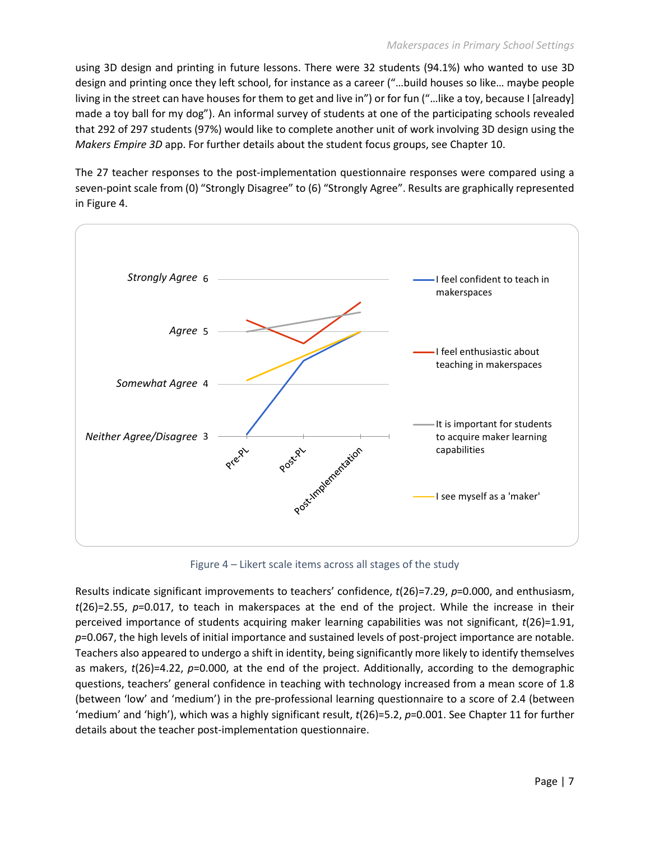using 3D design and printing in future lessons. There were 32 students (94.1%) who wanted to use 3D design and printing once they left school, for instance as a career ("…build houses so like… maybe people living in the street can have houses for them to get and live in") or for fun ("…like a toy, because I [already] made a toy ball for my dog"). An informal survey of students at one of the participating schools revealed that 292 of 297 students (97%) would like to complete another unit of work involving 3D design using the *Makers Empire 3D* app. For further details about the student focus groups, see Chapter 10.

The 27 teacher responses to the post-implementation questionnaire responses were compared using a seven-point scale from (0) "Strongly Disagree" to (6) "Strongly Agree". Results are graphically represented in Figure 4.



Figure 4 – Likert scale items across all stages of the study

Results indicate significant improvements to teachers' confidence, *t*(26)=7.29, *p*=0.000, and enthusiasm, *t*(26)=2.55, *p*=0.017, to teach in makerspaces at the end of the project. While the increase in their perceived importance of students acquiring maker learning capabilities was not significant, *t*(26)=1.91, *p*=0.067, the high levels of initial importance and sustained levels of post-project importance are notable. Teachers also appeared to undergo a shift in identity, being significantly more likely to identify themselves as makers, *t*(26)=4.22, *p*=0.000, at the end of the project. Additionally, according to the demographic questions, teachers' general confidence in teaching with technology increased from a mean score of 1.8 (between 'low' and 'medium') in the pre-professional learning questionnaire to a score of 2.4 (between 'medium' and 'high'), which was a highly significant result, *t*(26)=5.2, *p*=0.001. See Chapter 11 for further details about the teacher post-implementation questionnaire.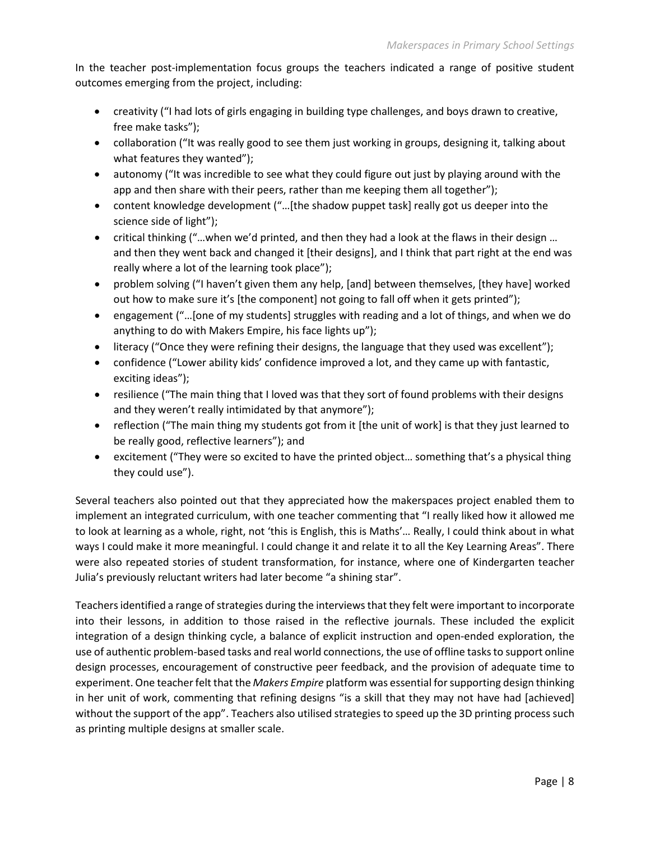In the teacher post-implementation focus groups the teachers indicated a range of positive student outcomes emerging from the project, including:

- creativity ("I had lots of girls engaging in building type challenges, and boys drawn to creative, free make tasks");
- collaboration ("It was really good to see them just working in groups, designing it, talking about what features they wanted");
- autonomy ("It was incredible to see what they could figure out just by playing around with the app and then share with their peers, rather than me keeping them all together");
- content knowledge development ("…[the shadow puppet task] really got us deeper into the science side of light");
- critical thinking ("…when we'd printed, and then they had a look at the flaws in their design … and then they went back and changed it [their designs], and I think that part right at the end was really where a lot of the learning took place");
- problem solving ("I haven't given them any help, [and] between themselves, [they have] worked out how to make sure it's [the component] not going to fall off when it gets printed");
- engagement ("…[one of my students] struggles with reading and a lot of things, and when we do anything to do with Makers Empire, his face lights up");
- literacy ("Once they were refining their designs, the language that they used was excellent");
- confidence ("Lower ability kids' confidence improved a lot, and they came up with fantastic, exciting ideas");
- resilience ("The main thing that I loved was that they sort of found problems with their designs and they weren't really intimidated by that anymore");
- reflection ("The main thing my students got from it [the unit of work] is that they just learned to be really good, reflective learners"); and
- excitement ("They were so excited to have the printed object… something that's a physical thing they could use").

Several teachers also pointed out that they appreciated how the makerspaces project enabled them to implement an integrated curriculum, with one teacher commenting that "I really liked how it allowed me to look at learning as a whole, right, not 'this is English, this is Maths'… Really, I could think about in what ways I could make it more meaningful. I could change it and relate it to all the Key Learning Areas". There were also repeated stories of student transformation, for instance, where one of Kindergarten teacher Julia's previously reluctant writers had later become "a shining star".

Teachers identified a range of strategies during the interviews that they felt were important to incorporate into their lessons, in addition to those raised in the reflective journals. These included the explicit integration of a design thinking cycle, a balance of explicit instruction and open-ended exploration, the use of authentic problem-based tasks and real world connections, the use of offline tasks to support online design processes, encouragement of constructive peer feedback, and the provision of adequate time to experiment. One teacher felt that the *Makers Empire* platform was essential for supporting design thinking in her unit of work, commenting that refining designs "is a skill that they may not have had [achieved] without the support of the app". Teachers also utilised strategies to speed up the 3D printing process such as printing multiple designs at smaller scale.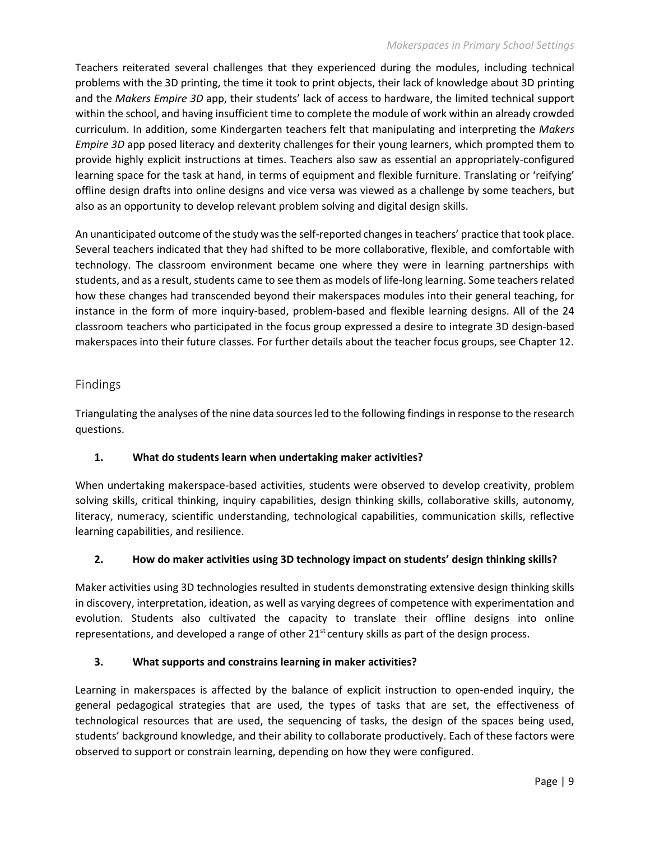#### *Makerspaces in Primary School Settings*

Teachers reiterated several challenges that they experienced during the modules, including technical problems with the 3D printing, the time it took to print objects, their lack of knowledge about 3D printing and the *Makers Empire 3D* app, their students' lack of access to hardware, the limited technical support within the school, and having insufficient time to complete the module of work within an already crowded curriculum. In addition, some Kindergarten teachers felt that manipulating and interpreting the *Makers Empire 3D* app posed literacy and dexterity challenges for their young learners, which prompted them to provide highly explicit instructions at times. Teachers also saw as essential an appropriately-configured learning space for the task at hand, in terms of equipment and flexible furniture. Translating or 'reifying' offline design drafts into online designs and vice versa was viewed as a challenge by some teachers, but also as an opportunity to develop relevant problem solving and digital design skills.

An unanticipated outcome of the study was the self-reported changes in teachers' practice that took place. Several teachers indicated that they had shifted to be more collaborative, flexible, and comfortable with technology. The classroom environment became one where they were in learning partnerships with students, and as a result, students came to see them as models of life-long learning. Some teachers related how these changes had transcended beyond their makerspaces modules into their general teaching, for instance in the form of more inquiry-based, problem-based and flexible learning designs. All of the 24 classroom teachers who participated in the focus group expressed a desire to integrate 3D design-based makerspaces into their future classes. For further details about the teacher focus groups, see Chapter 12.

#### Findings

Triangulating the analyses of the nine data sources led to the following findings in response to the research questions.

#### **1. What do students learn when undertaking maker activities?**

When undertaking makerspace-based activities, students were observed to develop creativity, problem solving skills, critical thinking, inquiry capabilities, design thinking skills, collaborative skills, autonomy, literacy, numeracy, scientific understanding, technological capabilities, communication skills, reflective learning capabilities, and resilience.

#### **2. How do maker activities using 3D technology impact on students' design thinking skills?**

Maker activities using 3D technologies resulted in students demonstrating extensive design thinking skills in discovery, interpretation, ideation, as well as varying degrees of competence with experimentation and evolution. Students also cultivated the capacity to translate their offline designs into online representations, and developed a range of other 21<sup>st</sup> century skills as part of the design process.

#### **3. What supports and constrains learning in maker activities?**

Learning in makerspaces is affected by the balance of explicit instruction to open-ended inquiry, the general pedagogical strategies that are used, the types of tasks that are set, the effectiveness of technological resources that are used, the sequencing of tasks, the design of the spaces being used, students' background knowledge, and their ability to collaborate productively. Each of these factors were observed to support or constrain learning, depending on how they were configured.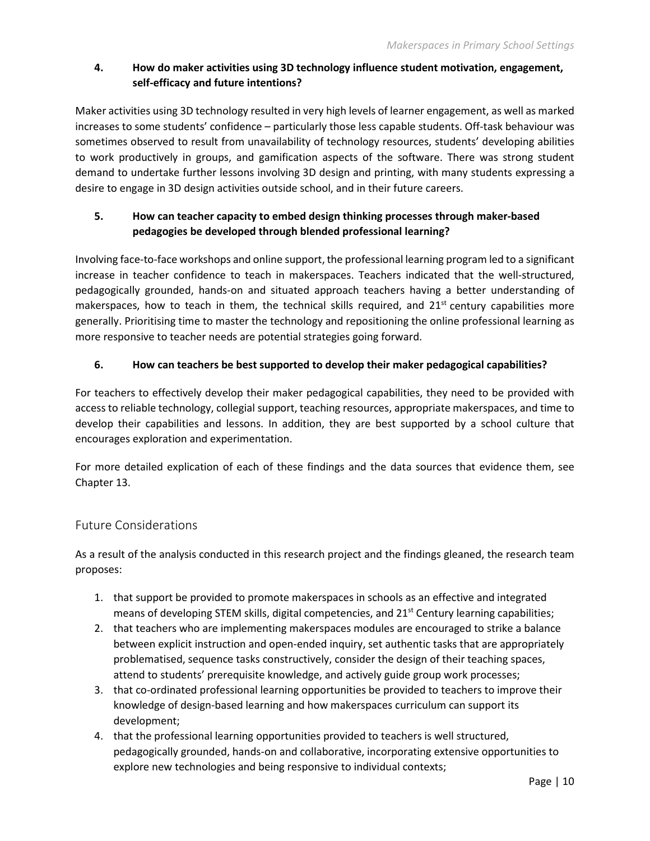#### **4. How do maker activities using 3D technology influence student motivation, engagement, self-efficacy and future intentions?**

Maker activities using 3D technology resulted in very high levels of learner engagement, as well as marked increases to some students' confidence – particularly those less capable students. Off-task behaviour was sometimes observed to result from unavailability of technology resources, students' developing abilities to work productively in groups, and gamification aspects of the software. There was strong student demand to undertake further lessons involving 3D design and printing, with many students expressing a desire to engage in 3D design activities outside school, and in their future careers.

#### **5. How can teacher capacity to embed design thinking processes through maker-based pedagogies be developed through blended professional learning?**

Involving face-to-face workshops and online support, the professional learning program led to a significant increase in teacher confidence to teach in makerspaces. Teachers indicated that the well-structured, pedagogically grounded, hands-on and situated approach teachers having a better understanding of makerspaces, how to teach in them, the technical skills required, and  $21^{st}$  century capabilities more generally. Prioritising time to master the technology and repositioning the online professional learning as more responsive to teacher needs are potential strategies going forward.

#### **6. How can teachers be best supported to develop their maker pedagogical capabilities?**

For teachers to effectively develop their maker pedagogical capabilities, they need to be provided with access to reliable technology, collegial support, teaching resources, appropriate makerspaces, and time to develop their capabilities and lessons. In addition, they are best supported by a school culture that encourages exploration and experimentation.

For more detailed explication of each of these findings and the data sources that evidence them, see Chapter 13.

#### Future Considerations

As a result of the analysis conducted in this research project and the findings gleaned, the research team proposes:

- 1. that support be provided to promote makerspaces in schools as an effective and integrated means of developing STEM skills, digital competencies, and 21<sup>st</sup> Century learning capabilities;
- 2. that teachers who are implementing makerspaces modules are encouraged to strike a balance between explicit instruction and open-ended inquiry, set authentic tasks that are appropriately problematised, sequence tasks constructively, consider the design of their teaching spaces, attend to students' prerequisite knowledge, and actively guide group work processes;
- 3. that co-ordinated professional learning opportunities be provided to teachers to improve their knowledge of design-based learning and how makerspaces curriculum can support its development;
- 4. that the professional learning opportunities provided to teachers is well structured, pedagogically grounded, hands-on and collaborative, incorporating extensive opportunities to explore new technologies and being responsive to individual contexts;